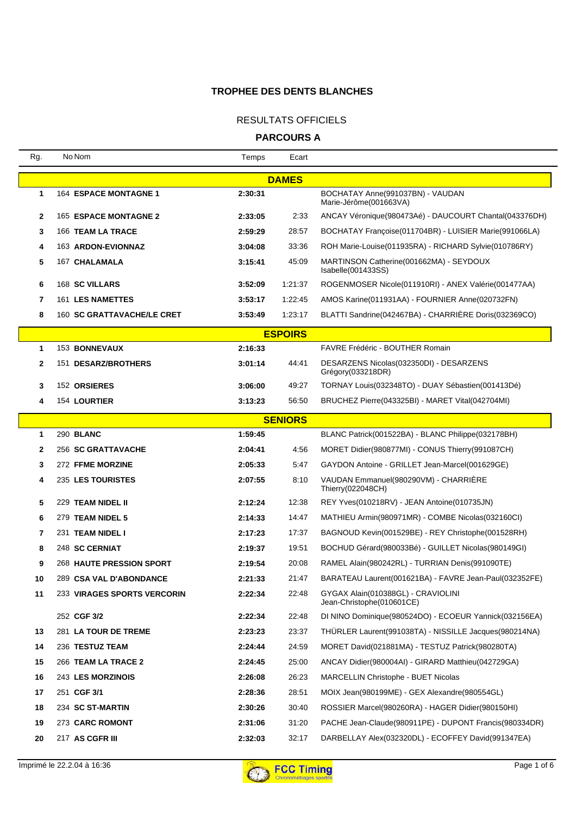### RESULTATS OFFICIELS

| Rg.          | No Nom                            | Temps   | Ecart          |                                                                 |
|--------------|-----------------------------------|---------|----------------|-----------------------------------------------------------------|
|              |                                   |         | <b>DAMES</b>   |                                                                 |
| 1            | <b>164 ESPACE MONTAGNE 1</b>      | 2:30:31 |                | BOCHATAY Anne(991037BN) - VAUDAN<br>Marie-Jérôme(001663VA)      |
| $\mathbf{2}$ | <b>165 ESPACE MONTAGNE 2</b>      | 2:33:05 | 2:33           | ANCAY Véronique(980473Aé) - DAUCOURT Chantal(043376DH)          |
| 3            | 166 TEAM LA TRACE                 | 2:59:29 | 28:57          | BOCHATAY Françoise (011704BR) - LUISIER Marie (991066LA)        |
| 4            | 163 ARDON-EVIONNAZ                | 3:04:08 | 33:36          | ROH Marie-Louise(011935RA) - RICHARD Sylvie(010786RY)           |
| 5            | 167 CHALAMALA                     | 3:15:41 | 45:09          | MARTINSON Catherine(001662MA) - SEYDOUX<br>Isabelle(001433SS)   |
| 6            | <b>168 SC VILLARS</b>             | 3:52:09 | 1:21:37        | ROGENMOSER Nicole(011910RI) - ANEX Valérie(001477AA)            |
| 7            | 161 LES NAMETTES                  | 3:53:17 | 1:22:45        | AMOS Karine(011931AA) - FOURNIER Anne(020732FN)                 |
| 8            | <b>160 SC GRATTAVACHE/LE CRET</b> | 3:53:49 | 1:23:17        | BLATTI Sandrine(042467BA) - CHARRIERE Doris(032369CO)           |
|              |                                   |         | <b>ESPOIRS</b> |                                                                 |
| 1            | <b>153 BONNEVAUX</b>              | 2:16:33 |                | FAVRE Frédéric - BOUTHER Romain                                 |
| 2            | 151 DESARZ/BROTHERS               | 3:01:14 | 44:41          | DESARZENS Nicolas(032350DI) - DESARZENS<br>Grégory(033218DR)    |
| 3            | 152 ORSIERES                      | 3:06:00 | 49:27          | TORNAY Louis(032348TO) - DUAY Sébastien(001413Dé)               |
| 4            | 154 LOURTIER                      | 3:13:23 | 56:50          | BRUCHEZ Pierre(043325BI) - MARET Vital(042704MI)                |
|              |                                   |         | <b>SENIORS</b> |                                                                 |
| 1            | 290 BLANC                         | 1:59:45 |                | BLANC Patrick(001522BA) - BLANC Philippe(032178BH)              |
| 2            | 256 SC GRATTAVACHE                | 2:04:41 | 4:56           | MORET Didier(980877MI) - CONUS Thierry(991087CH)                |
| 3            | 272 FFME MORZINE                  | 2:05:33 | 5:47           | GAYDON Antoine - GRILLET Jean-Marcel(001629GE)                  |
| 4            | 235 LES TOURISTES                 | 2:07:55 | 8:10           | VAUDAN Emmanuel(980290VM) - CHARRIERE<br>Thierry(022048CH)      |
| 5            | 229 TEAM NIDEL II                 | 2:12:24 | 12:38          | REY Yves(010218RV) - JEAN Antoine(010735JN)                     |
| 6            | 279 TEAM NIDEL 5                  | 2:14:33 | 14:47          | MATHIEU Armin(980971MR) - COMBE Nicolas(032160CI)               |
| 7            | 231 TEAM NIDEL I                  | 2:17:23 | 17:37          | BAGNOUD Kevin(001529BE) - REY Christophe(001528RH)              |
| 8            | 248 SC CERNIAT                    | 2:19:37 | 19:51          | BOCHUD Gérard(980033Bé) - GUILLET Nicolas(980149GI)             |
| 9            | <b>268 HAUTE PRESSION SPORT</b>   | 2:19:54 | 20:08          | RAMEL Alain(980242RL) - TURRIAN Denis(991090TE)                 |
| 10           | 289 CSA VAL D'ABONDANCE           | 2:21:33 | 21:47          | BARATEAU Laurent(001621BA) - FAVRE Jean-Paul(032352FE)          |
| 11           | 233 VIRAGES SPORTS VERCORIN       | 2:22:34 | 22:48          | GYGAX Alain(010388GL) - CRAVIOLINI<br>Jean-Christophe(010601CE) |
|              | 252 CGF 3/2                       | 2:22:34 | 22:48          | DI NINO Dominique(980524DO) - ECOEUR Yannick(032156EA)          |
| 13           | 281 LA TOUR DE TREME              | 2:23:23 | 23:37          | THÜRLER Laurent(991038TA) - NISSILLE Jacques(980214NA)          |
| 14           | 236 TESTUZ TEAM                   | 2:24:44 | 24:59          | MORET David(021881MA) - TESTUZ Patrick(980280TA)                |
| 15           | 266 TEAM LA TRACE 2               | 2:24:45 | 25:00          | ANCAY Didier(980004AI) - GIRARD Matthieu(042729GA)              |
| 16           | 243 LES MORZINOIS                 | 2:26:08 | 26:23          | <b>MARCELLIN Christophe - BUET Nicolas</b>                      |
| 17           | 251 CGF 3/1                       | 2:28:36 | 28:51          | MOIX Jean(980199ME) - GEX Alexandre(980554GL)                   |
| 18           | 234 SC ST-MARTIN                  | 2:30:26 | 30:40          | ROSSIER Marcel(980260RA) - HAGER Didier(980150HI)               |
| 19           | 273 CARC ROMONT                   | 2:31:06 | 31:20          | PACHE Jean-Claude(980911PE) - DUPONT Francis(980334DR)          |
| 20           | 217 AS CGFR III                   | 2:32:03 | 32:17          | DARBELLAY Alex(032320DL) - ECOFFEY David(991347EA)              |

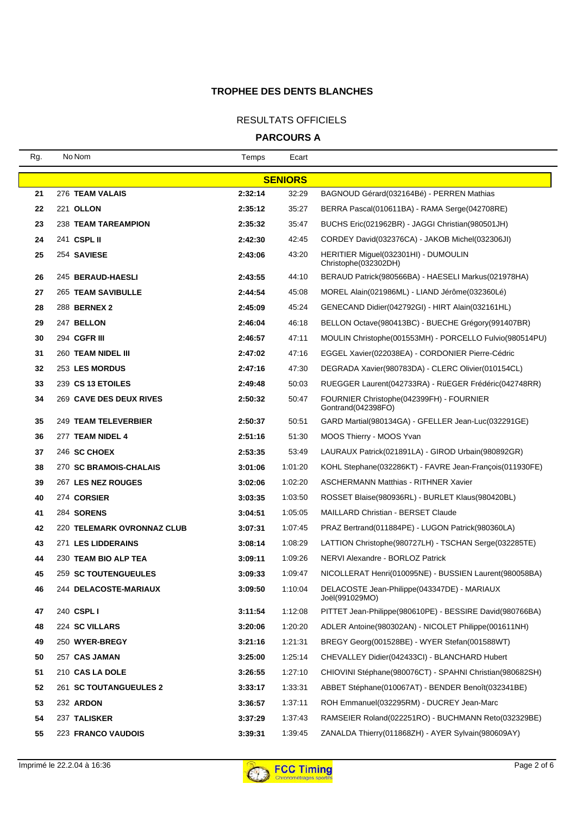### RESULTATS OFFICIELS

| Rg.            | No Nom                            | Temps   | Ecart   |                                                                 |  |
|----------------|-----------------------------------|---------|---------|-----------------------------------------------------------------|--|
| <b>SENIORS</b> |                                   |         |         |                                                                 |  |
| 21             | 276 TEAM VALAIS                   | 2:32:14 | 32:29   | BAGNOUD Gérard(032164Bé) - PERREN Mathias                       |  |
| 22             | 221 OLLON                         | 2:35:12 | 35:27   | BERRA Pascal(010611BA) - RAMA Serge(042708RE)                   |  |
| 23             | <b>238 TEAM TAREAMPION</b>        | 2:35:32 | 35:47   | BUCHS Eric(021962BR) - JAGGI Christian(980501JH)                |  |
| 24             | 241 CSPL II                       | 2:42:30 | 42:45   | CORDEY David(032376CA) - JAKOB Michel(032306JI)                 |  |
| 25             | 254 SAVIESE                       | 2:43:06 | 43:20   | HERITIER Miguel(032301HI) - DUMOULIN<br>Christophe(032302DH)    |  |
| 26             | 245 BERAUD-HAESLI                 | 2:43:55 | 44:10   | BERAUD Patrick(980566BA) - HAESELI Markus(021978HA)             |  |
| 27             | <b>265 TEAM SAVIBULLE</b>         | 2:44:54 | 45:08   | MOREL Alain(021986ML) - LIAND Jérôme(032360Lé)                  |  |
| 28             | 288 BERNEX 2                      | 2:45:09 | 45:24   | GENECAND Didier(042792GI) - HIRT Alain(032161HL)                |  |
| 29             | 247 BELLON                        | 2:46:04 | 46:18   | BELLON Octave(980413BC) - BUECHE Grégory(991407BR)              |  |
| 30             | 294 CGFR III                      | 2:46:57 | 47:11   | MOULIN Christophe(001553MH) - PORCELLO Fulvio(980514PU)         |  |
| 31             | 260 TEAM NIDEL III                | 2:47:02 | 47:16   | EGGEL Xavier(022038EA) - CORDONIER Pierre-Cédric                |  |
| 32             | 253 LES MORDUS                    | 2:47:16 | 47:30   | DEGRADA Xavier(980783DA) - CLERC Olivier(010154CL)              |  |
| 33             | 239 CS 13 ETOILES                 | 2:49:48 | 50:03   | RUEGGER Laurent(042733RA) - RüEGER Frédéric(042748RR)           |  |
| 34             | <b>269 CAVE DES DEUX RIVES</b>    | 2:50:32 | 50:47   | FOURNIER Christophe (042399FH) - FOURNIER<br>Gontrand(042398FO) |  |
| 35             | 249 TEAM TELEVERBIER              | 2:50:37 | 50:51   | GARD Martial(980134GA) - GFELLER Jean-Luc(032291GE)             |  |
| 36             | 277 TEAM NIDEL 4                  | 2:51:16 | 51:30   | MOOS Thierry - MOOS Yvan                                        |  |
| 37             | 246 SC CHOEX                      | 2:53:35 | 53:49   | LAURAUX Patrick(021891LA) - GIROD Urbain(980892GR)              |  |
| 38             | 270 SC BRAMOIS-CHALAIS            | 3:01:06 | 1:01:20 | KOHL Stephane(032286KT) - FAVRE Jean-François(011930FE)         |  |
| 39             | 267 LES NEZ ROUGES                | 3:02:06 | 1:02:20 | <b>ASCHERMANN Matthias - RITHNER Xavier</b>                     |  |
| 40             | 274 CORSIER                       | 3:03:35 | 1:03:50 | ROSSET Blaise(980936RL) - BURLET Klaus(980420BL)                |  |
| 41             | <b>284 SORENS</b>                 | 3:04:51 | 1:05:05 | <b>MAILLARD Christian - BERSET Claude</b>                       |  |
| 42             | <b>220 TELEMARK OVRONNAZ CLUB</b> | 3:07:31 | 1:07:45 | PRAZ Bertrand(011884PE) - LUGON Patrick(980360LA)               |  |
| 43             | 271 LES LIDDERAINS                | 3:08:14 | 1:08:29 | LATTION Christophe(980727LH) - TSCHAN Serge(032285TE)           |  |
| 44             | 230 TEAM BIO ALP TEA              | 3:09:11 | 1:09:26 | NERVI Alexandre - BORLOZ Patrick                                |  |
| 45             | <b>259 SC TOUTENGUEULES</b>       | 3:09:33 | 1:09:47 | NICOLLERAT Henri(010095NE) - BUSSIEN Laurent(980058BA)          |  |
| 46             | 244 DELACOSTE-MARIAUX             | 3:09:50 | 1:10:04 | DELACOSTE Jean-Philippe(043347DE) - MARIAUX<br>Joël(991029MO)   |  |
| 47             | 240 CSPL I                        | 3:11:54 | 1:12:08 | PITTET Jean-Philippe(980610PE) - BESSIRE David(980766BA)        |  |
| 48             | 224 SC VILLARS                    | 3:20:06 | 1:20:20 | ADLER Antoine(980302AN) - NICOLET Philippe(001611NH)            |  |
| 49             | 250 WYER-BREGY                    | 3:21:16 | 1:21:31 | BREGY Georg(001528BE) - WYER Stefan(001588WT)                   |  |
| 50             | 257 CAS JAMAN                     | 3:25:00 | 1:25:14 | CHEVALLEY Didier(042433CI) - BLANCHARD Hubert                   |  |
| 51             | 210 CAS LA DOLE                   | 3:26:55 | 1:27:10 | CHIOVINI Stéphane(980076CT) - SPAHNI Christian(980682SH)        |  |
| 52             | <b>261 SC TOUTANGUEULES 2</b>     | 3:33:17 | 1:33:31 | ABBET Stéphane(010067AT) - BENDER Benoît(032341BE)              |  |
| 53             | 232 ARDON                         | 3:36:57 | 1:37:11 | ROH Emmanuel(032295RM) - DUCREY Jean-Marc                       |  |
| 54             | 237 TALISKER                      | 3:37:29 | 1:37:43 | RAMSEIER Roland(022251RO) - BUCHMANN Reto(032329BE)             |  |
| 55             | <b>223 FRANCO VAUDOIS</b>         | 3:39:31 | 1:39:45 | ZANALDA Thierry(011868ZH) - AYER Sylvain(980609AY)              |  |

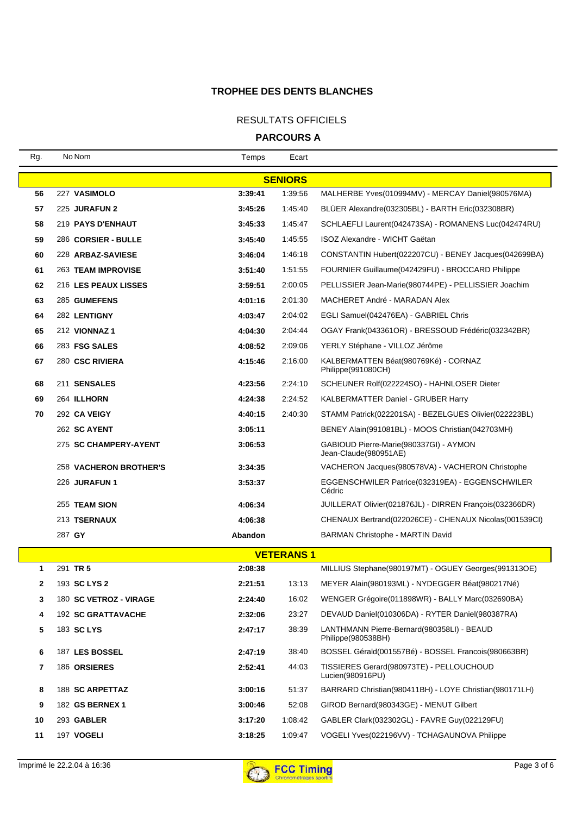### RESULTATS OFFICIELS

| Rg.              | No Nom                    | Temps   | Ecart          |                                                                  |  |  |
|------------------|---------------------------|---------|----------------|------------------------------------------------------------------|--|--|
|                  |                           |         | <b>SENIORS</b> |                                                                  |  |  |
| 56               | 227 VASIMOLO              | 3:39:41 | 1:39:56        | MALHERBE Yves(010994MV) - MERCAY Daniel(980576MA)                |  |  |
| 57               | 225 JURAFUN 2             | 3:45:26 | 1:45:40        | BLÜER Alexandre(032305BL) - BARTH Eric(032308BR)                 |  |  |
| 58               | 219 PAYS D'ENHAUT         | 3:45:33 | 1:45:47        | SCHLAEFLI Laurent(042473SA) - ROMANENS Luc(042474RU)             |  |  |
| 59               | 286 CORSIER - BULLE       | 3:45:40 | 1:45:55        | ISOZ Alexandre - WICHT Gaëtan                                    |  |  |
| 60               | 228 ARBAZ-SAVIESE         | 3:46:04 | 1:46:18        | CONSTANTIN Hubert(022207CU) - BENEY Jacques(042699BA)            |  |  |
| 61               | <b>263 TEAM IMPROVISE</b> | 3:51:40 | 1:51:55        | FOURNIER Guillaume(042429FU) - BROCCARD Philippe                 |  |  |
| 62               | 216 LES PEAUX LISSES      | 3:59:51 | 2:00:05        | PELLISSIER Jean-Marie(980744PE) - PELLISSIER Joachim             |  |  |
| 63               | 285 GUMEFENS              | 4:01:16 | 2:01:30        | MACHERET André - MARADAN Alex                                    |  |  |
| 64               | 282 LENTIGNY              | 4:03:47 | 2:04:02        | EGLI Samuel(042476EA) - GABRIEL Chris                            |  |  |
| 65               | 212 VIONNAZ 1             | 4:04:30 | 2:04:44        | OGAY Frank(043361OR) - BRESSOUD Frédéric(032342BR)               |  |  |
| 66               | 283 FSG SALES             | 4:08:52 | 2:09:06        | YERLY Stéphane - VILLOZ Jérôme                                   |  |  |
| 67               | 280 CSC RIVIERA           | 4:15:46 | 2:16:00        | KALBERMATTEN Béat(980769Ké) - CORNAZ<br>Philippe(991080CH)       |  |  |
| 68               | 211 SENSALES              | 4:23:56 | 2:24:10        | SCHEUNER Rolf(022224SO) - HAHNLOSER Dieter                       |  |  |
| 69               | 264 ILLHORN               | 4:24:38 | 2:24:52        | <b>KALBERMATTER Daniel - GRUBER Harry</b>                        |  |  |
| 70               | 292 CA VEIGY              | 4:40:15 | 2:40:30        | STAMM Patrick(022201SA) - BEZELGUES Olivier(022223BL)            |  |  |
|                  | 262 SC AYENT              | 3:05:11 |                | BENEY Alain(991081BL) - MOOS Christian(042703MH)                 |  |  |
|                  | 275 SC CHAMPERY-AYENT     | 3:06:53 |                | GABIOUD Pierre-Marie(980337GI) - AYMON<br>Jean-Claude(980951AE)  |  |  |
|                  | 258 VACHERON BROTHER'S    | 3:34:35 |                | VACHERON Jacques(980578VA) - VACHERON Christophe                 |  |  |
|                  | 226 JURAFUN 1             | 3:53:37 |                | EGGENSCHWILER Patrice(032319EA) - EGGENSCHWILER<br>Cédric        |  |  |
|                  | 255 TEAM SION             | 4:06:34 |                | JUILLERAT Olivier(021876JL) - DIRREN François(032366DR)          |  |  |
|                  | 213 TSERNAUX              | 4:06:38 |                | CHENAUX Bertrand(022026CE) - CHENAUX Nicolas(001539CI)           |  |  |
|                  | 287 GY                    | Abandon |                | <b>BARMAN Christophe - MARTIN David</b>                          |  |  |
| <b>VETERANS1</b> |                           |         |                |                                                                  |  |  |
| 1                | 291 TR 5                  | 2:08:38 |                | MILLIUS Stephane(980197MT) - OGUEY Georges(991313OE)             |  |  |
| $\mathbf{2}$     | 193 SC LYS 2              | 2:21:51 |                | 13:13 MEYER Alain(980193ML) - NYDEGGER Béat(980217Né)            |  |  |
| 3                | 180 SC VETROZ - VIRAGE    | 2:24:40 | 16:02          | WENGER Grégoire(011898WR) - BALLY Marc(032690BA)                 |  |  |
| 4                | 192 SC GRATTAVACHE        | 2:32:06 | 23:27          | DEVAUD Daniel(010306DA) - RYTER Daniel(980387RA)                 |  |  |
| 5                | 183 SC LYS                | 2:47:17 | 38:39          | LANTHMANN Pierre-Bernard(980358LI) - BEAUD<br>Philippe(980538BH) |  |  |
| 6                | 187 LES BOSSEL            | 2:47:19 | 38:40          | BOSSEL Gérald(001557Bé) - BOSSEL Francois(980663BR)              |  |  |
| 7                | 186 ORSIERES              | 2:52:41 | 44:03          | TISSIERES Gerard(980973TE) - PELLOUCHOUD<br>Lucien(980916PU)     |  |  |
| 8                | 188 SC ARPETTAZ           | 3:00:16 | 51:37          | BARRARD Christian(980411BH) - LOYE Christian(980171LH)           |  |  |
| 9                | 182 GS BERNEX 1           | 3:00:46 | 52:08          | GIROD Bernard(980343GE) - MENUT Gilbert                          |  |  |
| 10               | 293 GABLER                | 3:17:20 | 1:08:42        | GABLER Clark(032302GL) - FAVRE Guy(022129FU)                     |  |  |
| 11               | 197 VOGELI                | 3:18:25 | 1:09:47        | VOGELI Yves(022196VV) - TCHAGAUNOVA Philippe                     |  |  |

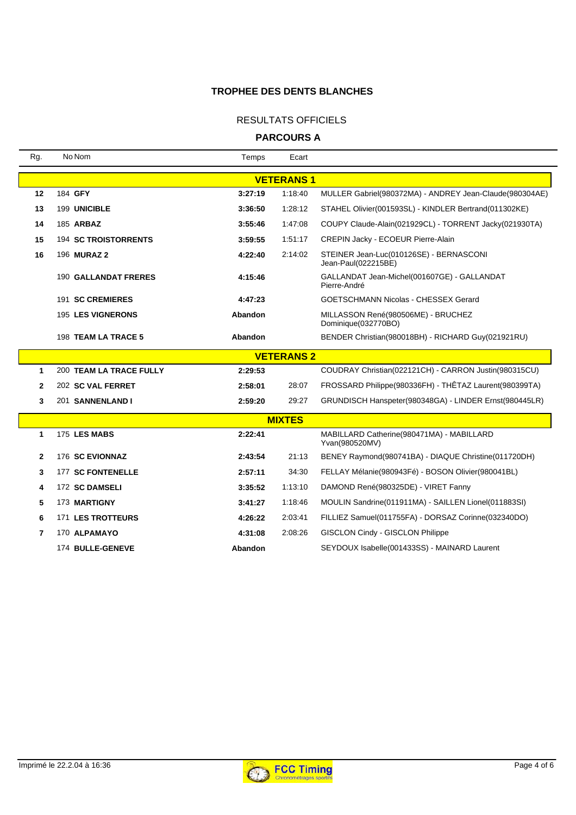### RESULTATS OFFICIELS

| Rg.              | No Nom                         | Temps   | Ecart             |                                                                |  |
|------------------|--------------------------------|---------|-------------------|----------------------------------------------------------------|--|
| <b>VETERANS1</b> |                                |         |                   |                                                                |  |
| 12               | 184 GFY                        | 3:27:19 | 1:18:40           | MULLER Gabriel(980372MA) - ANDREY Jean-Claude(980304AE)        |  |
| 13               | 199 UNICIBLE                   | 3:36:50 | 1:28:12           | STAHEL Olivier(001593SL) - KINDLER Bertrand(011302KE)          |  |
| 14               | 185 ARBAZ                      | 3:55:46 | 1:47:08           | COUPY Claude-Alain(021929CL) - TORRENT Jacky(021930TA)         |  |
| 15               | <b>194 SC TROISTORRENTS</b>    | 3:59:55 | 1:51:17           | CREPIN Jacky - ECOEUR Pierre-Alain                             |  |
| 16               | 196 <b>MURAZ 2</b>             | 4:22:40 | 2:14:02           | STEINER Jean-Luc(010126SE) - BERNASCONI<br>Jean-Paul(022215BE) |  |
|                  | <b>190 GALLANDAT FRERES</b>    | 4:15:46 |                   | GALLANDAT Jean-Michel(001607GE) - GALLANDAT<br>Pierre-André    |  |
|                  | 191 SC CREMIERES               | 4:47:23 |                   | GOETSCHMANN Nicolas - CHESSEX Gerard                           |  |
|                  | <b>195 LES VIGNERONS</b>       | Abandon |                   | MILLASSON René(980506ME) - BRUCHEZ<br>Dominique(032770BO)      |  |
|                  | 198 TEAM LA TRACE 5            | Abandon |                   | BENDER Christian(980018BH) - RICHARD Guy(021921RU)             |  |
|                  |                                |         | <b>VETERANS 2</b> |                                                                |  |
| 1                | <b>200 TEAM LA TRACE FULLY</b> | 2:29:53 |                   | COUDRAY Christian(022121CH) - CARRON Justin(980315CU)          |  |
| $\mathbf{2}$     | 202 SC VAL FERRET              | 2:58:01 | 28:07             | FROSSARD Philippe(980336FH) - THÊTAZ Laurent(980399TA)         |  |
| 3                | 201 SANNENLAND I               | 2:59:20 | 29:27             | GRUNDISCH Hanspeter(980348GA) - LINDER Ernst(980445LR)         |  |
|                  |                                |         | <b>MIXTES</b>     |                                                                |  |
| 1                | 175 LES MABS                   | 2:22:41 |                   | MABILLARD Catherine(980471MA) - MABILLARD<br>Yvan(980520MV)    |  |
| $\mathbf{2}$     | 176 SC EVIONNAZ                | 2:43:54 | 21:13             | BENEY Raymond(980741BA) - DIAQUE Christine(011720DH)           |  |
| 3                | 177 SC FONTENELLE              | 2:57:11 | 34:30             | FELLAY Mélanie(980943Fé) - BOSON Olivier(980041BL)             |  |
| 4                | 172 SC DAMSELI                 | 3:35:52 | 1:13:10           | DAMOND René(980325DE) - VIRET Fanny                            |  |
| 5                | 173 MARTIGNY                   | 3:41:27 | 1:18:46           | MOULIN Sandrine(011911MA) - SAILLEN Lionel(011883SI)           |  |
| 6                | <b>171 LES TROTTEURS</b>       | 4:26:22 | 2:03:41           | FILLIEZ Samuel(011755FA) - DORSAZ Corinne(032340DO)            |  |
| 7                | 170 ALPAMAYO                   | 4:31:08 | 2:08:26           | <b>GISCLON Cindy - GISCLON Philippe</b>                        |  |
|                  | 174 BULLE-GENEVE               | Abandon |                   | SEYDOUX Isabelle(001433SS) - MAINARD Laurent                   |  |
|                  |                                |         |                   |                                                                |  |

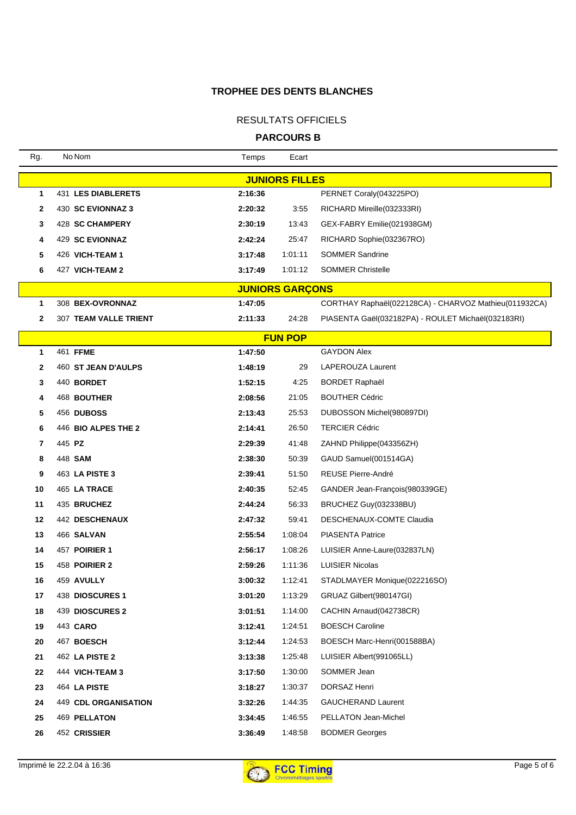### RESULTATS OFFICIELS

**PARCOURS B**

| Rg.                   | No Nom                      | Temps   | Ecart                  |                                                       |  |
|-----------------------|-----------------------------|---------|------------------------|-------------------------------------------------------|--|
| <b>JUNIORS FILLES</b> |                             |         |                        |                                                       |  |
| 1                     | 431 LES DIABLERETS          | 2:16:36 |                        | PERNET Coraly(043225PO)                               |  |
| 2                     | 430 SC EVIONNAZ 3           | 2:20:32 | 3:55                   | RICHARD Mireille(032333RI)                            |  |
| 3                     | 428 SC CHAMPERY             | 2:30:19 | 13:43                  | GEX-FABRY Emilie(021938GM)                            |  |
| 4                     | 429 SC EVIONNAZ             | 2:42:24 | 25:47                  | RICHARD Sophie(032367RO)                              |  |
| 5                     | 426 VICH-TEAM 1             | 3:17:48 | 1:01:11                | <b>SOMMER Sandrine</b>                                |  |
| 6                     | 427 VICH-TEAM 2             | 3:17:49 | 1:01:12                | <b>SOMMER Christelle</b>                              |  |
|                       |                             |         | <b>JUNIORS GARÇONS</b> |                                                       |  |
| 1                     | 308 BEX-OVRONNAZ            | 1:47:05 |                        | CORTHAY Raphaël(022128CA) - CHARVOZ Mathieu(011932CA) |  |
| 2                     | 307 TEAM VALLE TRIENT       | 2:11:33 | 24:28                  | PIASENTA Gaël(032182PA) - ROULET Michaël(032183RI)    |  |
|                       |                             |         | <b>FUN POP</b>         |                                                       |  |
| 1                     | 461 FFME                    | 1:47:50 |                        | <b>GAYDON Alex</b>                                    |  |
| $\mathbf{2}$          | 460 ST JEAN D'AULPS         | 1:48:19 | 29                     | <b>LAPEROUZA Laurent</b>                              |  |
| 3                     | 440 BORDET                  | 1:52:15 | 4:25                   | <b>BORDET Raphaël</b>                                 |  |
| 4                     | 468 BOUTHER                 | 2:08:56 | 21:05                  | <b>BOUTHER Cédric</b>                                 |  |
| 5                     | 456 DUBOSS                  | 2:13:43 | 25:53                  | DUBOSSON Michel(980897DI)                             |  |
| 6                     | 446 BIO ALPES THE 2         | 2:14:41 | 26:50                  | <b>TERCIER Cédric</b>                                 |  |
| 7                     | 445 PZ                      | 2:29:39 | 41:48                  | ZAHND Philippe(043356ZH)                              |  |
| 8                     | 448 SAM                     | 2:38:30 | 50:39                  | GAUD Samuel(001514GA)                                 |  |
| 9                     | 463 LA PISTE 3              | 2:39:41 | 51:50                  | <b>REUSE Pierre-André</b>                             |  |
| 10                    | 465 LA TRACE                | 2:40:35 | 52:45                  | GANDER Jean-François(980339GE)                        |  |
| 11                    | 435 BRUCHEZ                 | 2:44:24 | 56:33                  | BRUCHEZ Guy(032338BU)                                 |  |
| 12                    | 442 DESCHENAUX              | 2:47:32 | 59:41                  | DESCHENAUX-COMTE Claudia                              |  |
| 13                    | 466 SALVAN                  | 2:55:54 | 1:08:04                | <b>PIASENTA Patrice</b>                               |  |
| 14                    | 457 POIRIER 1               | 2:56:17 | 1:08:26                | LUISIER Anne-Laure(032837LN)                          |  |
| 15                    | 458 POIRIER 2               | 2:59:26 | 1:11:36                | <b>LUISIER Nicolas</b>                                |  |
| 16                    | 459 AVULLY                  | 3:00:32 | 1:12:41                | STADLMAYER Monique(022216SO)                          |  |
| 17                    | 438 DIOSCURES 1             | 3:01:20 | 1:13:29                | GRUAZ Gilbert(980147GI)                               |  |
| 18                    | 439 DIOSCURES 2             | 3:01:51 | 1:14:00                | CACHIN Arnaud(042738CR)                               |  |
| 19                    | 443 CARO                    | 3:12:41 | 1:24:51                | <b>BOESCH Caroline</b>                                |  |
| 20                    | 467 BOESCH                  | 3:12:44 | 1:24:53                | BOESCH Marc-Henri(001588BA)                           |  |
| 21                    | 462 LA PISTE 2              | 3:13:38 | 1:25:48                | LUISIER Albert(991065LL)                              |  |
| 22                    | 444 VICH-TEAM 3             | 3:17:50 | 1:30:00                | SOMMER Jean                                           |  |
| 23                    | 464 LA PISTE                | 3:18:27 | 1:30:37                | DORSAZ Henri                                          |  |
| 24                    | <b>449 CDL ORGANISATION</b> | 3:32:26 | 1:44:35                | <b>GAUCHERAND Laurent</b>                             |  |
| 25                    | 469 PELLATON                | 3:34:45 | 1:46:55                | PELLATON Jean-Michel                                  |  |
| 26                    | 452 CRISSIER                | 3:36:49 | 1:48:58                | <b>BODMER Georges</b>                                 |  |